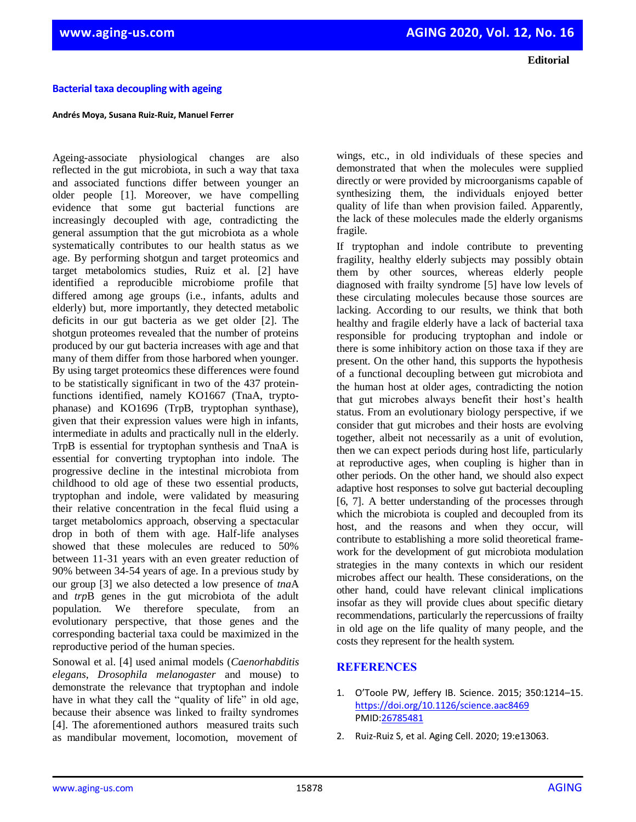**Editorial**

## **Bacterial taxa decoupling with ageing**

## **Andrés Moya, Susana Ruiz-Ruiz, Manuel Ferrer**

Ageing-associate physiological changes are also reflected in the gut microbiota, in such a way that taxa and associated functions differ between younger an older people [1]. Moreover, we have compelling evidence that some gut bacterial functions are increasingly decoupled with age, contradicting the general assumption that the gut microbiota as a whole systematically contributes to our health status as we age. By performing shotgun and target proteomics and target metabolomics studies, Ruiz et al. [2] have identified a reproducible microbiome profile that differed among age groups (i.e., infants, adults and elderly) but, more importantly, they detected metabolic deficits in our gut bacteria as we get older [2]. The shotgun proteomes revealed that the number of proteins produced by our gut bacteria increases with age and that many of them differ from those harbored when younger. By using target proteomics these differences were found to be statistically significant in two of the 437 proteinfunctions identified, namely KO1667 (TnaA, tryptophanase) and KO1696 (TrpB, tryptophan synthase), given that their expression values were high in infants, intermediate in adults and practically null in the elderly. TrpB is essential for tryptophan synthesis and TnaA is essential for converting tryptophan into indole. The progressive decline in the intestinal microbiota from childhood to old age of these two essential products, tryptophan and indole, were validated by measuring their relative concentration in the fecal fluid using a target metabolomics approach, observing a spectacular drop in both of them with age. Half-life analyses showed that these molecules are reduced to 50% between 11-31 years with an even greater reduction of 90% between 34-54 years of age. In a previous study by our group [3] we also detected a low presence of *tna*A and *trp*B genes in the gut microbiota of the adult population. We therefore speculate, from an evolutionary perspective, that those genes and the corresponding bacterial taxa could be maximized in the reproductive period of the human species.

Sonowal et al. [4] used animal models (*Caenorhabditis elegans*, *Drosophila melanogaster* and mouse) to demonstrate the relevance that tryptophan and indole have in what they call the "quality of life" in old age, because their absence was linked to frailty syndromes [4]. The aforementioned authors measured traits such as mandibular movement, locomotion, movement of

wings, etc., in old individuals of these species and demonstrated that when the molecules were supplied directly or were provided by microorganisms capable of synthesizing them, the individuals enjoyed better quality of life than when provision failed. Apparently, the lack of these molecules made the elderly organisms fragile.

If tryptophan and indole contribute to preventing fragility, healthy elderly subjects may possibly obtain them by other sources, whereas elderly people diagnosed with frailty syndrome [5] have low levels of these circulating molecules because those sources are lacking. According to our results, we think that both healthy and fragile elderly have a lack of bacterial taxa responsible for producing tryptophan and indole or there is some inhibitory action on those taxa if they are present. On the other hand, this supports the hypothesis of a functional decoupling between gut microbiota and the human host at older ages, contradicting the notion that gut microbes always benefit their host's health status. From an evolutionary biology perspective, if we consider that gut microbes and their hosts are evolving together, albeit not necessarily as a unit of evolution, then we can expect periods during host life, particularly at reproductive ages, when coupling is higher than in other periods. On the other hand, we should also expect adaptive host responses to solve gut bacterial decoupling [6, 7]. A better understanding of the processes through which the microbiota is coupled and decoupled from its host, and the reasons and when they occur, will contribute to establishing a more solid theoretical framework for the development of gut microbiota modulation strategies in the many contexts in which our resident microbes affect our health. These considerations, on the other hand, could have relevant clinical implications insofar as they will provide clues about specific dietary recommendations, particularly the repercussions of frailty in old age on the life quality of many people, and the costs they represent for the health system.

## **REFERENCES**

- 1. O'Toole PW, Jeffery IB. Science. 2015; 350:1214–15. <https://doi.org/10.1126/science.aac8469> PMID[:26785481](https://www.ncbi.nlm.nih.gov/entrez/query.fcgi?cmd=Retrieve&db=PubMed&list_uids=26785481&dopt=Abstract)
- 2. Ruiz-Ruiz S, et al. Aging Cell. 2020; 19:e13063.